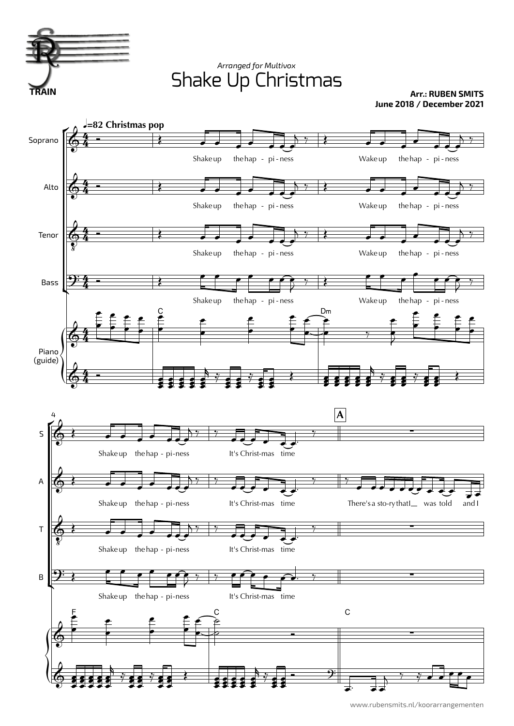

## Shake Up Christmas *Arranged for Multivox*

**Arr.: RUBEN SMITS June 2018 / December 2021**

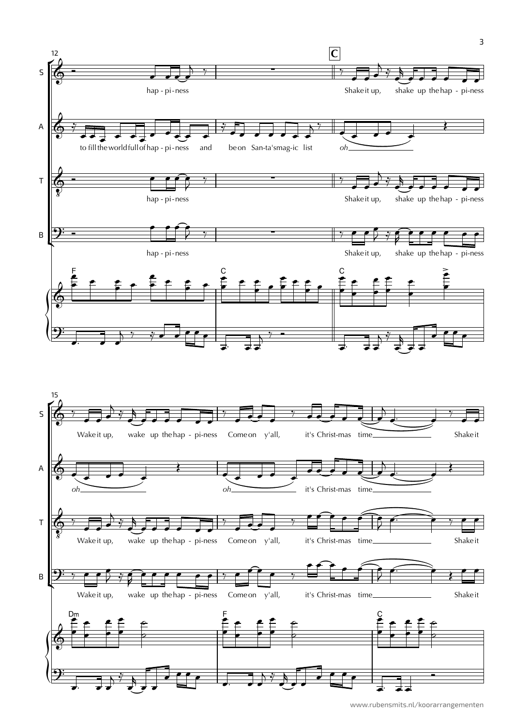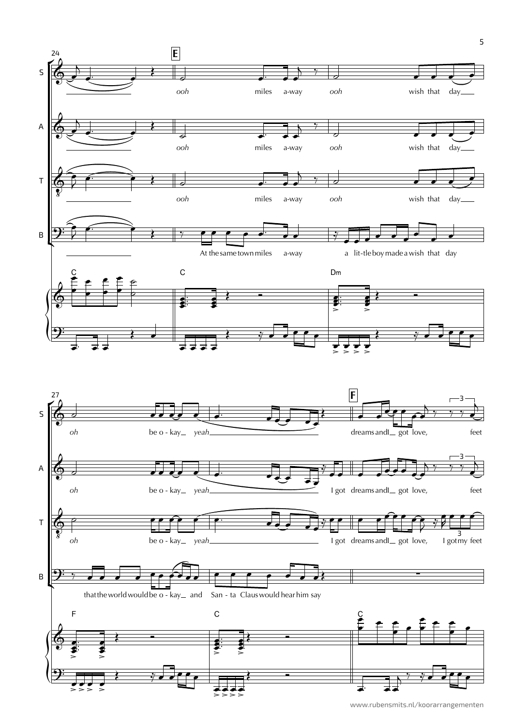

www.rubensmits.nl/koorarrangementen

 $\sf 5$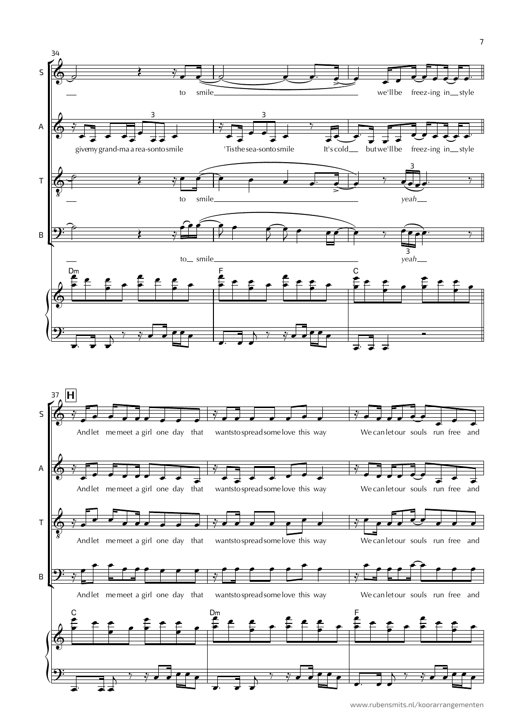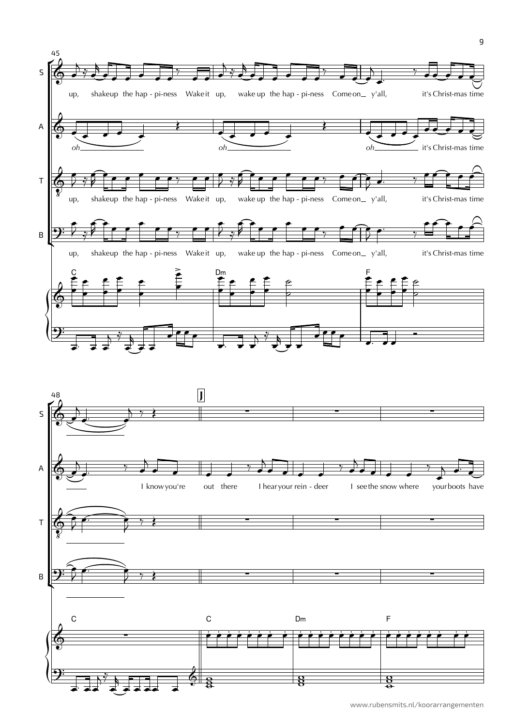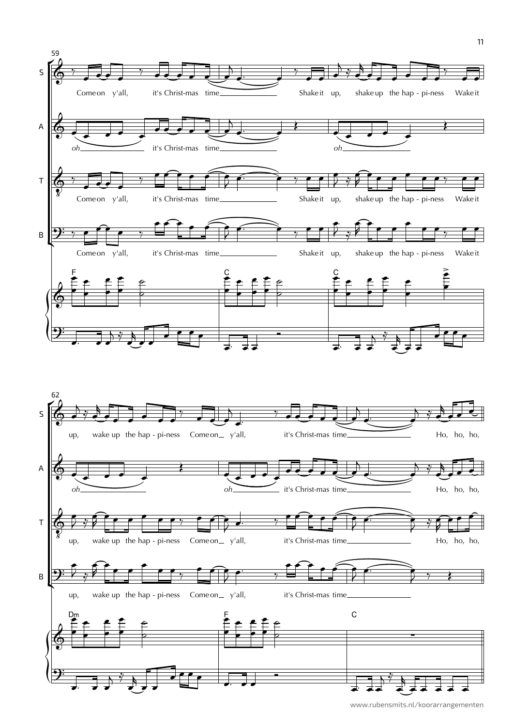

www.rubensmits.nl/koorarrangementen